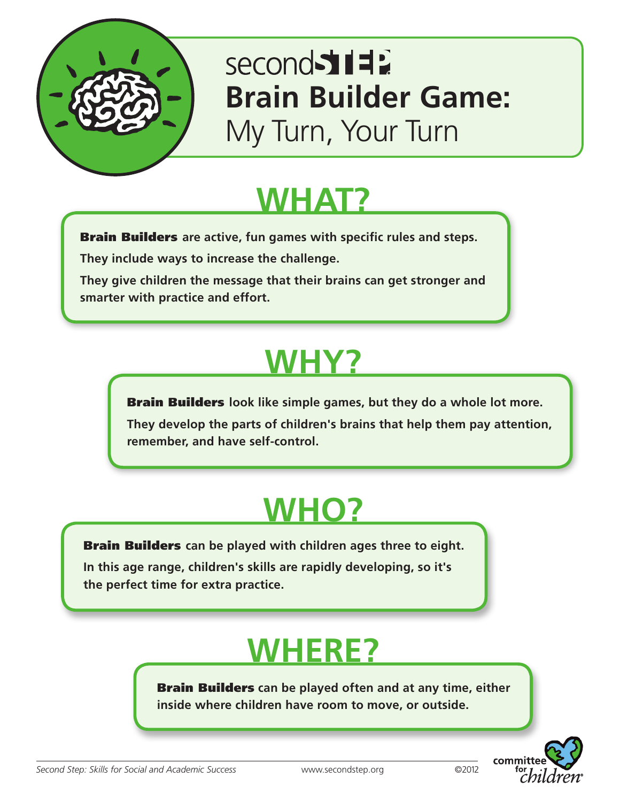

### second 511 **Brain Builder Game:** My Turn, Your Turn

### **WHAT?**

Brain Builders **are active, fun games with specific rules and steps.**

**They include ways to increase the challenge.** 

**They give children the message that their brains can get stronger and smarter with practice and effort.**

## **WHY?**

Brain Builders **look like simple games, but they do a whole lot more.** 

**They develop the parts of children's brains that help them pay attention, remember, and have self-control.**

# **WHO?**

Brain Builders **can be played with children ages three to eight.** 

**In this age range, children's skills are rapidly developing, so it's the perfect time for extra practice.**

### **WHERE?**

Brain Builders **can be played often and at any time, either inside where children have room to move, or outside.**